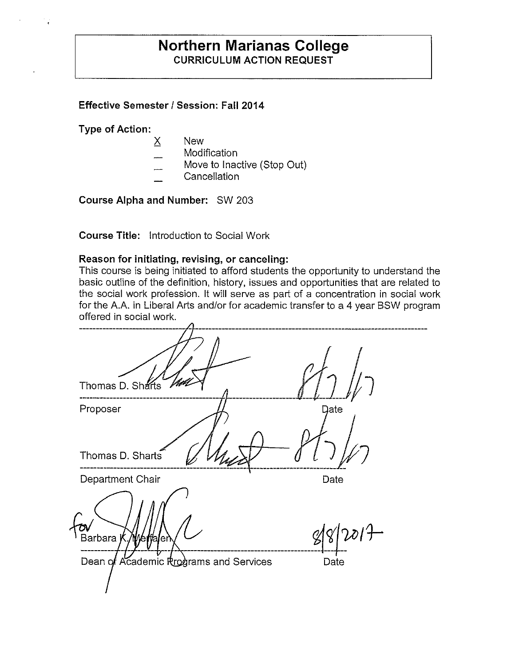## **Northern Marianas College CURRICULUM ACTION REQUEST**

## **Effective Semester/ Session: Fall 2014**

**Type of Action:** 

ł

- X New
- **Modification**
- Move to Inactive (Stop Out)
- **Cancellation**

**Course Alpha and Number:** SW 203

**Course Title:** Introduction to Social Work

#### **Reason for initiating, revising, or canceling:**

This course is being initiated to afford students the opportunity to understand the basic outline of the definition, history, issues and opportunities that are related to the social work profession. It will serve as part of a concentration in social work for the A.A. in Liberal Arts and/or for academic transfer to a 4 year SSW program offered in social work.

| Thomas D. Sharts                       |      |
|----------------------------------------|------|
| Proposer                               | Date |
| Thomas D. Sharts                       |      |
| Department Chair                       | Date |
| Barbara J<br>Wettalen                  |      |
| Dean of Academic Rrograms and Services | Date |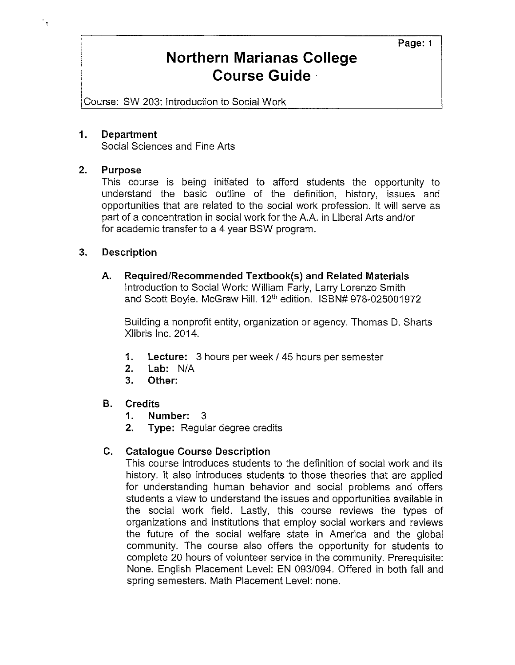## **Northern Marianas College Course Guide** ·

Course: SW 203: Introduction to Social Work

### **1. Department**

Social Sciences and Fine Arts

#### **2. Purpose**

 $\tilde{\mathbf{f}}$ 

This course is being initiated to afford students the opportunity to understand the basic outline of the definition, history, issues and opportunities that are related to the social work profession. It will serve as part of a concentration in social work for the A.A. in Liberal Arts and/or for academic transfer to a 4 year BSW program.

#### **3. Description**

**A. Required/Recommended Textbook(s) and Related Materials**  Introduction to Social Work: William Farly, Larry Lorenzo Smith and Scott Boyle. McGraw Hill. 12<sup>th</sup> edition. ISBN# 978-025001972

Building a nonprofit entity, organization or agency. Thomas D. Sharts Xlibris Inc. 2014.

- **1. Lecture:** 3 hours per week/ 45 hours per semester
- **2. Lab:** N/A
- **3. Other:**

## **B. Credits**

- **1. Number:** 3
- **2. Type:** Regular degree credits

## **C. Catalogue Course Description**

This course introduces students to the definition of social work and its history. It also introduces students to those theories that are applied for understanding human behavior and social problems and offers students a view to understand the issues and opportunities available in the social work field. Lastly, this course reviews the types of organizations and institutions that employ social workers and reviews the future of the social welfare state in America and the global community. The course also offers the opportunity for students to complete 20 hours of volunteer service in the community. Prerequisite: None. English Placement Level: EN 093/094. Offered in both fall and spring semesters. Math Placement Level: none.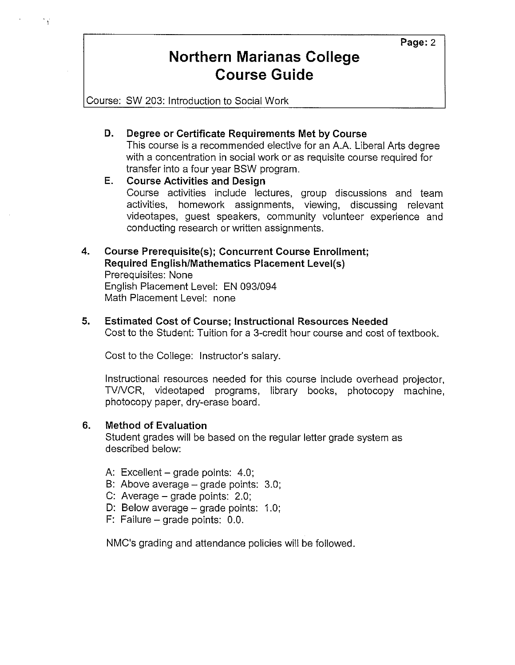## **Northern Marianas College Course Guide**

Course: SW 203: Introduction to Social Work

٠ę

## **D. Degree or Certificate Requirements Met by Course**

This course is a recommended elective for an A.A. Liberal Arts degree with a concentration in social work or as requisite course required for transfer into a four year BSW program.

## **E. Course Activities and Design**  Course activities include lectures, group discussions and team activities, homework assignments, viewing, discussing relevant videotapes, guest speakers, community volunteer experience and conducting research or written assignments.

#### **4. Course Prerequisite(s); Concurrent Course Enrollment; Required English/Mathematics Placement Level(s)**  Prerequisites: None

English Placement Level: EN 093/094 Math Placement Level: none

## **5. Estimated Cost of Course; Instructional Resources Needed**

Cost to the Student: Tuition for a 3-credit hour course and cost of textbook.

Cost to the College: Instructor's salary.

Instructional resources needed for this course include overhead projector, TVNCR, videotaped programs, library books, photocopy machine, photocopy paper, dry-erase board.

## **6. Method of Evaluation**

Student grades will be based on the regular letter grade system as described below:

- A: Excellent  $-$  grade points: 4.0;
- B: Above average  $-$  grade points: 3.0;
- C: Average  $-$  grade points: 2.0;
- D: Below average  $-$  grade points: 1.0;
- $F:$  Failure grade points: 0.0.

NMC's grading and attendance policies will be followed.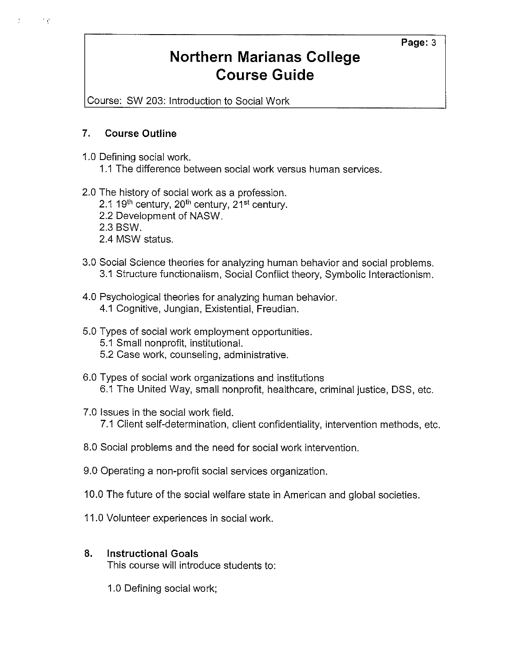# **Northern Marianas College Course Guide**

Course: SW 203: Introduction to Social Work

## **7. Course Outline**

 $\mathcal{C}^{\prime}_{\mathcal{A}}$ 

- 1.0 Defining social work.
	- 1.1 The difference between social work versus human services.
- 2.0 The history of social work as a profession.
	- 2.1 19<sup>th</sup> century, 20<sup>th</sup> century, 21<sup>st</sup> century.
	- 2.2 Development of NASW.
	- 2.3 BSW.
	- 2.4 MSW status.
- 3.0 Social Science theories for analyzing human behavior and social problems. 3.1 Structure functionalism, Social Conflict theory, Symbolic lnteractionism.
- 4.0 Psychological theories for analyzing human behavior. 4.1 Cognitive, Jungian, Existential, Freudian.
- 5.0 Types of social work employment opportunities.
	- 5.1 Small nonprofit, institutional.
	- 5.2 Case work, counseling, administrative.
- 6.0 Types of social work organizations and institutions 6.1 The United Way, small nonprofit, healthcare, criminal justice, DSS, etc.
- 7.0 Issues in the social work field. 7.1 Client self-determination, client confidentiality, intervention methods, etc.
- 8.0 Social problems and the need for social work intervention.
- 9.0 Operating a non-profit social services organization.
- 10.0 The future of the social welfare state in American and global societies.
- 11.0 Volunteer experiences in social work.

## **8. Instructional Goals**

This course will introduce students to:

1.0 Defining social work;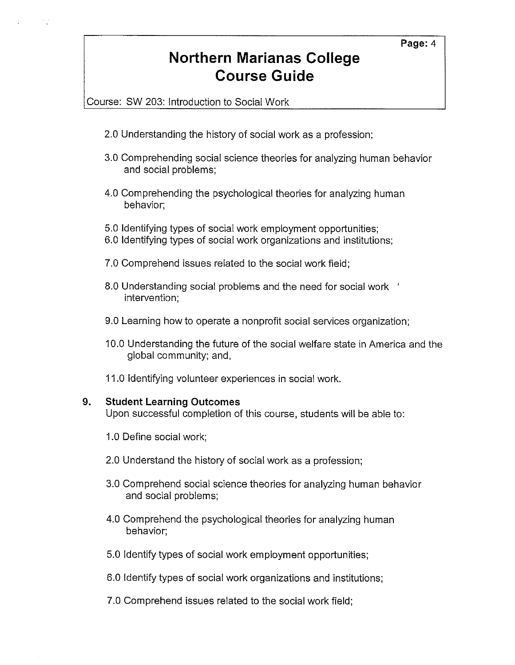# **Northern Marianas College Course Guide**

Course: SW 203: Introduction to Social Work

- 2.0 Understanding the history of social work as a profession;
- 3.0 Comprehending social science theories for analyzing human behavior and social problems;
- 4.0 Comprehending the psychological theories for analyzing human behavior;
- 5.0 Identifying types of social work employment opportunities;
- 6.0 Identifying types of social work organizations and institutions;
- 7.0 Comprehend issues related to the social work field;
- 8.0 Understanding social problems and the need for social work intervention;
- 9.0 Learning how to operate a nonprofit social services organization;
- 10.0 Understanding the future of the social welfare state in America and the global community; and,
- 11.0 Identifying volunteer experiences in social work.

## **9. Student Learning Outcomes**

Upon successful completion of this course, students will be able to:

- 1.0 Define social work;
- 2.0 Understand the history of social work as a profession;
- 3.0 Comprehend social science theories for analyzing human behavior and social problems;
- 4.0 Comprehend the psychological theories for analyzing human behavior;
- 5.0 Identify types of social work employment opportunities;
- 6.0 Identify types of social work organizations and institutions;
- 7.0 Comprehend issues related to the social work field;